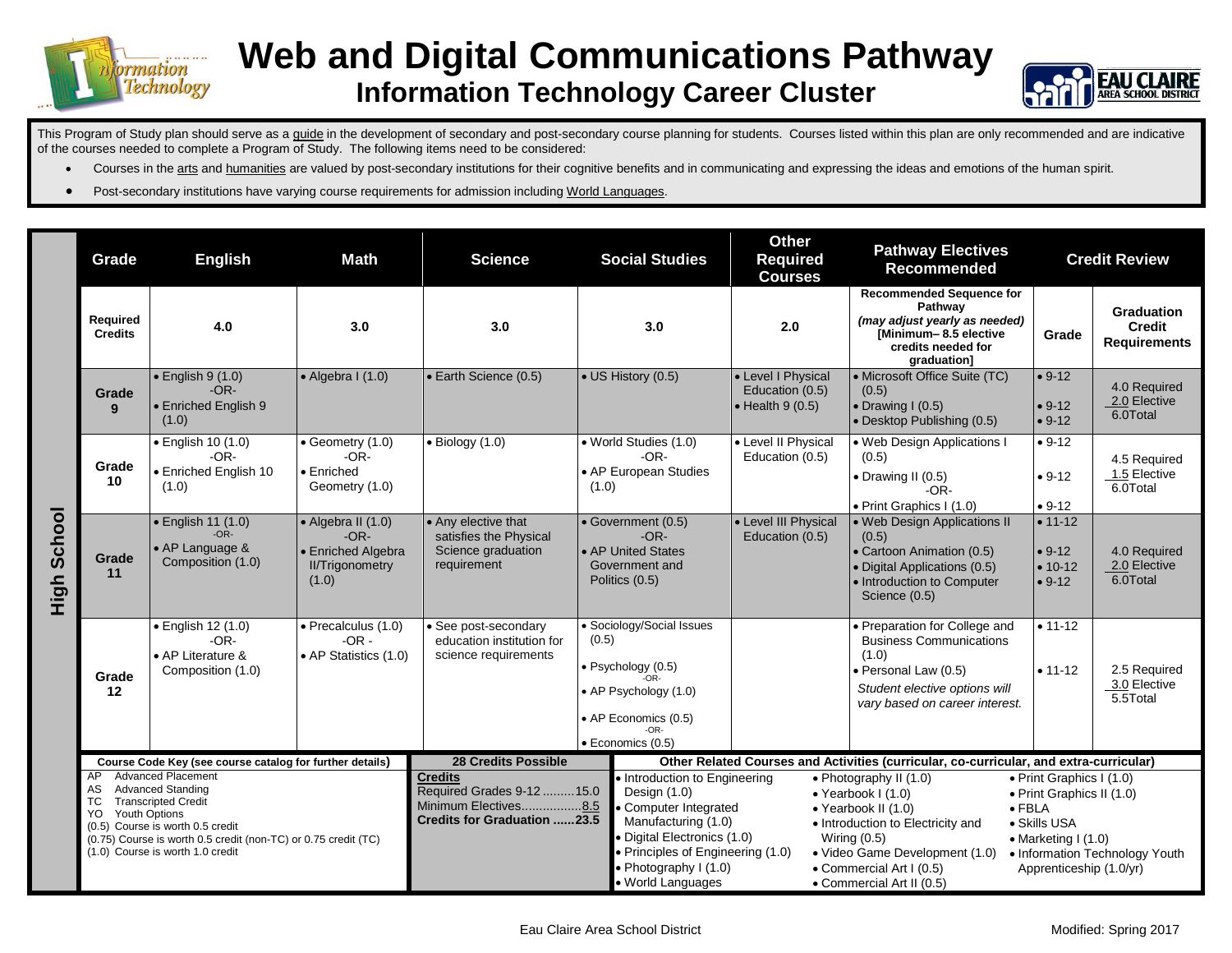

## **Web and Digital Communications Pathway Information Technology Career Cluster**



This Program of Study plan should serve as a guide in the development of secondary and post-secondary course planning for students. Courses listed within this plan are only recommended and are indicative of the courses needed to complete a Program of Study. The following items need to be considered:

- Courses in the arts and humanities are valued by post-secondary institutions for their cognitive benefits and in communicating and expressing the ideas and emotions of the human spirit.
- Post-secondary institutions have varying course requirements for admission including World Languages.

|                    | Grade                                                                                                                                                                                                                                                                         | <b>English</b>                                                            | <b>Math</b>                                                                           | <b>Science</b>                                                                                                                                                                                                                                                                                                            | <b>Social Studies</b>                                                                                                                    | Other<br><b>Required</b><br><b>Courses</b>                        | <b>Pathway Electives</b><br><b>Recommended</b>                                                                                                                                                                                                                                                                                                                                                                                 |                                                | <b>Credit Review</b>                                      |
|--------------------|-------------------------------------------------------------------------------------------------------------------------------------------------------------------------------------------------------------------------------------------------------------------------------|---------------------------------------------------------------------------|---------------------------------------------------------------------------------------|---------------------------------------------------------------------------------------------------------------------------------------------------------------------------------------------------------------------------------------------------------------------------------------------------------------------------|------------------------------------------------------------------------------------------------------------------------------------------|-------------------------------------------------------------------|--------------------------------------------------------------------------------------------------------------------------------------------------------------------------------------------------------------------------------------------------------------------------------------------------------------------------------------------------------------------------------------------------------------------------------|------------------------------------------------|-----------------------------------------------------------|
| <b>High School</b> | Required<br><b>Credits</b>                                                                                                                                                                                                                                                    | 4.0                                                                       | 3.0                                                                                   | 3.0                                                                                                                                                                                                                                                                                                                       | 3.0                                                                                                                                      | 2.0                                                               | <b>Recommended Sequence for</b><br>Pathway<br>(may adjust yearly as needed)<br>[Minimum-8.5 elective<br>credits needed for<br>graduation]                                                                                                                                                                                                                                                                                      | Grade                                          | <b>Graduation</b><br><b>Credit</b><br><b>Requirements</b> |
|                    | Grade<br>9                                                                                                                                                                                                                                                                    | $\bullet$ English 9 (1.0)<br>$-OR-$<br><b>Enriched English 9</b><br>(1.0) | $\bullet$ Algebra I (1.0)                                                             | · Earth Science (0.5)                                                                                                                                                                                                                                                                                                     | • US History (0.5)                                                                                                                       | • Level I Physical<br>Education (0.5)<br>$\bullet$ Health 9 (0.5) | • Microsoft Office Suite (TC)<br>(0.5)<br>$\bullet$ Drawing I (0.5)<br>• Desktop Publishing (0.5)                                                                                                                                                                                                                                                                                                                              | $• 9-12$<br>$• 9-12$<br>$• 9-12$               | 4.0 Required<br>2.0 Elective<br>6.0Total                  |
|                    | Grade<br>10                                                                                                                                                                                                                                                                   | • English 10 (1.0)<br>$-OR-$<br>· Enriched English 10<br>(1.0)            | Geometry (1.0)<br>$-OR-$<br>• Enriched<br>Geometry (1.0)                              | $\bullet$ Biology (1.0)                                                                                                                                                                                                                                                                                                   | • World Studies (1.0)<br>$-OR-$<br>• AP European Studies<br>(1.0)                                                                        | • Level II Physical<br>Education (0.5)                            | . Web Design Applications I<br>(0.5)<br>• Drawing II (0.5)<br>$-OR-$<br>• Print Graphics I (1.0)                                                                                                                                                                                                                                                                                                                               | $• 9-12$<br>$• 9-12$<br>$• 9-12$               | 4.5 Required<br>1.5 Elective<br>6.0Total                  |
|                    | Grade<br>11                                                                                                                                                                                                                                                                   | · English 11 (1.0)<br>$-OR-$<br>• AP Language &<br>Composition (1.0)      | • Algebra II (1.0)<br>$-OR-$<br>· Enriched Algebra<br><b>II/Trigonometry</b><br>(1.0) | • Any elective that<br>satisfies the Physical<br>Science graduation<br>requirement                                                                                                                                                                                                                                        | • Government (0.5)<br>$-OR-$<br>• AP United States<br>Government and<br>Politics (0.5)                                                   | • Level III Physical<br>Education (0.5)                           | • Web Design Applications II<br>(0.5)<br>• Cartoon Animation (0.5)<br>· Digital Applications (0.5)<br>• Introduction to Computer<br>Science (0.5)                                                                                                                                                                                                                                                                              | $• 11-12$<br>$• 9-12$<br>$• 10-12$<br>$• 9-12$ | 4.0 Required<br>2.0 Elective<br>6.0Total                  |
|                    | Grade<br>12                                                                                                                                                                                                                                                                   | · English 12 (1.0)<br>$-OR-$<br>• AP Literature &<br>Composition (1.0)    | · Precalculus (1.0)<br>$-OR -$<br>• AP Statistics (1.0)                               | • See post-secondary<br>education institution for<br>science requirements                                                                                                                                                                                                                                                 | • Sociology/Social Issues<br>(0.5)<br>· Psychology (0.5)<br>• AP Psychology (1.0)<br>• AP Economics (0.5)<br>$-OR-$<br>· Economics (0.5) |                                                                   | · Preparation for College and<br><b>Business Communications</b><br>(1.0)<br>· Personal Law (0.5)<br>Student elective options will<br>vary based on career interest.                                                                                                                                                                                                                                                            | $• 11 - 12$<br>$• 11 - 12$                     | 2.5 Required<br>3.0 Elective<br>5.5Total                  |
|                    | Course Code Key (see course catalog for further details)                                                                                                                                                                                                                      |                                                                           | <b>28 Credits Possible</b>                                                            |                                                                                                                                                                                                                                                                                                                           | Other Related Courses and Activities (curricular, co-curricular, and extra-curricular)                                                   |                                                                   |                                                                                                                                                                                                                                                                                                                                                                                                                                |                                                |                                                           |
|                    | <b>Advanced Placement</b><br>AP<br><b>Advanced Standing</b><br>AS<br><b>Transcripted Credit</b><br>ТC<br>YO<br><b>Youth Options</b><br>(0.5) Course is worth 0.5 credit<br>(0.75) Course is worth 0.5 credit (non-TC) or 0.75 credit (TC)<br>(1.0) Course is worth 1.0 credit |                                                                           |                                                                                       | <b>Credits</b><br>Introduction to Engineering<br>Required Grades 9-12  15.0<br>Design (1.0)<br>Minimum Electives8.5<br>• Computer Integrated<br><b>Credits for Graduation 23.5</b><br>Manufacturing (1.0)<br>Digital Electronics (1.0)<br>• Principles of Engineering (1.0)<br>• Photography I (1.0)<br>· World Languages |                                                                                                                                          |                                                                   | • Photography II $(1.0)$<br>• Print Graphics I (1.0)<br>$\bullet$ Yearbook I (1.0)<br>• Print Graphics II (1.0)<br>$\bullet$ FBLA<br>$\bullet$ Yearbook II (1.0)<br>• Skills USA<br>• Introduction to Electricity and<br>Wiring $(0.5)$<br>$\bullet$ Marketing I (1.0)<br>• Video Game Development (1.0)<br>• Information Technology Youth<br>• Commercial Art I (0.5)<br>Apprenticeship (1.0/yr)<br>• Commercial Art II (0.5) |                                                |                                                           |